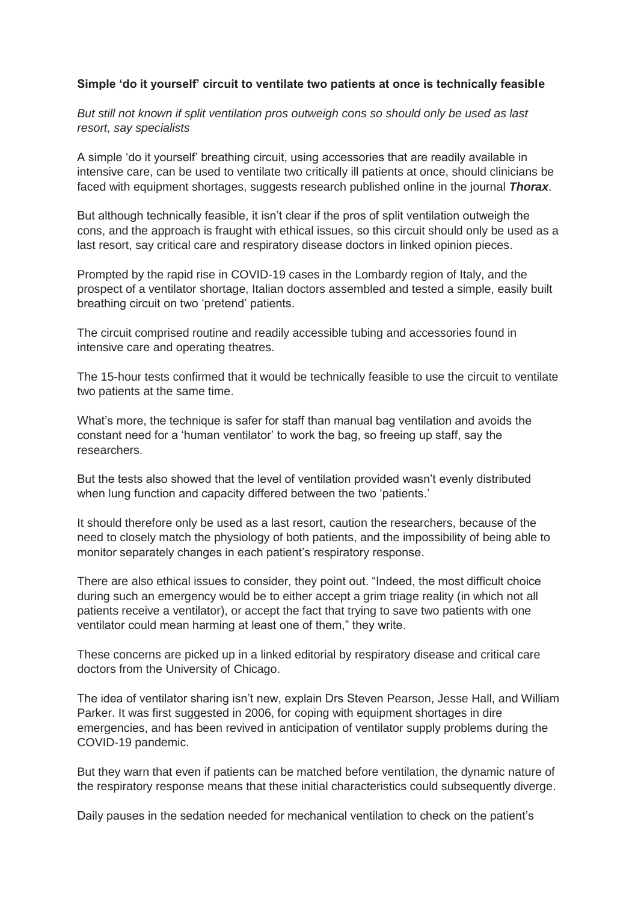## **Simple 'do it yourself' circuit to ventilate two patients at once is technically feasible**

*But still not known if split ventilation pros outweigh cons so should only be used as last resort, say specialists*

A simple 'do it yourself' breathing circuit, using accessories that are readily available in intensive care, can be used to ventilate two critically ill patients at once, should clinicians be faced with equipment shortages, suggests research published online in the journal *Thorax*.

But although technically feasible, it isn't clear if the pros of split ventilation outweigh the cons, and the approach is fraught with ethical issues, so this circuit should only be used as a last resort, say critical care and respiratory disease doctors in linked opinion pieces.

Prompted by the rapid rise in COVID-19 cases in the Lombardy region of Italy, and the prospect of a ventilator shortage, Italian doctors assembled and tested a simple, easily built breathing circuit on two 'pretend' patients.

The circuit comprised routine and readily accessible tubing and accessories found in intensive care and operating theatres.

The 15-hour tests confirmed that it would be technically feasible to use the circuit to ventilate two patients at the same time.

What's more, the technique is safer for staff than manual bag ventilation and avoids the constant need for a 'human ventilator' to work the bag, so freeing up staff, say the researchers.

But the tests also showed that the level of ventilation provided wasn't evenly distributed when lung function and capacity differed between the two 'patients.'

It should therefore only be used as a last resort, caution the researchers, because of the need to closely match the physiology of both patients, and the impossibility of being able to monitor separately changes in each patient's respiratory response.

There are also ethical issues to consider, they point out. "Indeed, the most difficult choice during such an emergency would be to either accept a grim triage reality (in which not all patients receive a ventilator), or accept the fact that trying to save two patients with one ventilator could mean harming at least one of them," they write.

These concerns are picked up in a linked editorial by respiratory disease and critical care doctors from the University of Chicago.

The idea of ventilator sharing isn't new, explain Drs Steven Pearson, Jesse Hall, and William Parker. It was first suggested in 2006, for coping with equipment shortages in dire emergencies, and has been revived in anticipation of ventilator supply problems during the COVID-19 pandemic.

But they warn that even if patients can be matched before ventilation, the dynamic nature of the respiratory response means that these initial characteristics could subsequently diverge.

Daily pauses in the sedation needed for mechanical ventilation to check on the patient's